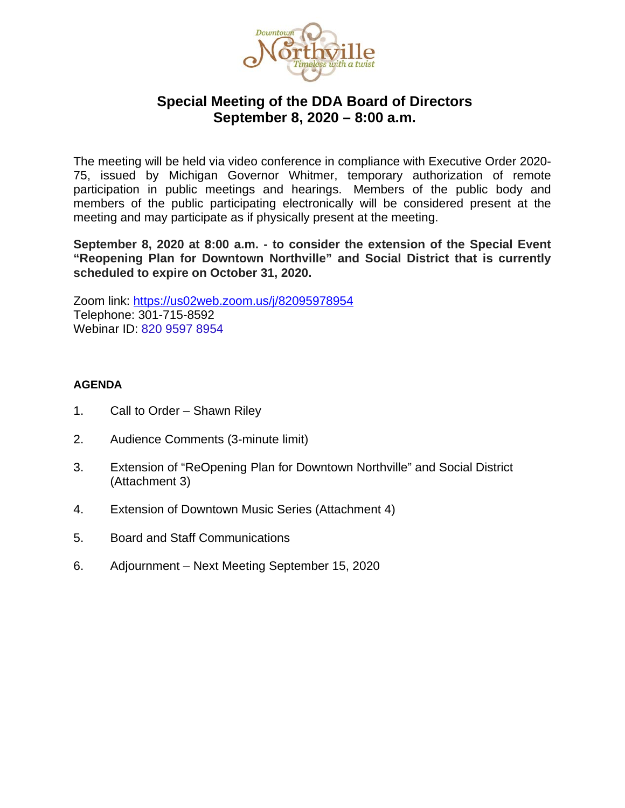

#### **Special Meeting of the DDA Board of Directors September 8, 2020 – 8:00 a.m.**

The meeting will be held via video conference in compliance with Executive Order 2020- 75, issued by Michigan Governor Whitmer, temporary authorization of remote participation in public meetings and hearings. Members of the public body and members of the public participating electronically will be considered present at the meeting and may participate as if physically present at the meeting.

**September 8, 2020 at 8:00 a.m. - to consider the extension of the Special Event "Reopening Plan for Downtown Northville" and Social District that is currently scheduled to expire on October 31, 2020.** 

Zoom link:<https://us02web.zoom.us/j/82095978954> Telephone: 301-715-8592 Webinar ID: 820 9597 8954

#### **AGENDA**

- 1. Call to Order Shawn Riley
- 2. Audience Comments (3-minute limit)
- 3. Extension of "ReOpening Plan for Downtown Northville" and Social District (Attachment 3)
- 4. Extension of Downtown Music Series (Attachment 4)
- 5. Board and Staff Communications
- 6. Adjournment Next Meeting September 15, 2020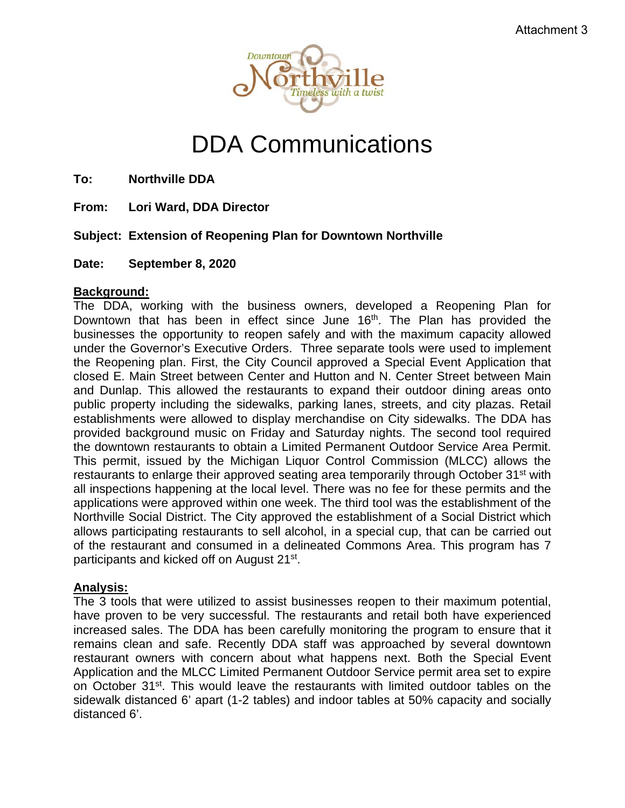

# DDA Communications

**To: Northville DDA**

**From: Lori Ward, DDA Director**

#### **Subject: Extension of Reopening Plan for Downtown Northville**

**Date: September 8, 2020**

#### **Background:**

The DDA, working with the business owners, developed a Reopening Plan for Downtown that has been in effect since June 16<sup>th</sup>. The Plan has provided the businesses the opportunity to reopen safely and with the maximum capacity allowed under the Governor's Executive Orders. Three separate tools were used to implement the Reopening plan. First, the City Council approved a Special Event Application that closed E. Main Street between Center and Hutton and N. Center Street between Main and Dunlap. This allowed the restaurants to expand their outdoor dining areas onto public property including the sidewalks, parking lanes, streets, and city plazas. Retail establishments were allowed to display merchandise on City sidewalks. The DDA has provided background music on Friday and Saturday nights. The second tool required the downtown restaurants to obtain a Limited Permanent Outdoor Service Area Permit. This permit, issued by the Michigan Liquor Control Commission (MLCC) allows the restaurants to enlarge their approved seating area temporarily through October 31<sup>st</sup> with all inspections happening at the local level. There was no fee for these permits and the applications were approved within one week. The third tool was the establishment of the Northville Social District. The City approved the establishment of a Social District which allows participating restaurants to sell alcohol, in a special cup, that can be carried out of the restaurant and consumed in a delineated Commons Area. This program has 7 participants and kicked off on August 21st.

#### **Analysis:**

The 3 tools that were utilized to assist businesses reopen to their maximum potential, have proven to be very successful. The restaurants and retail both have experienced increased sales. The DDA has been carefully monitoring the program to ensure that it remains clean and safe. Recently DDA staff was approached by several downtown restaurant owners with concern about what happens next. Both the Special Event Application and the MLCC Limited Permanent Outdoor Service permit area set to expire on October 31st. This would leave the restaurants with limited outdoor tables on the sidewalk distanced 6' apart (1-2 tables) and indoor tables at 50% capacity and socially distanced 6'.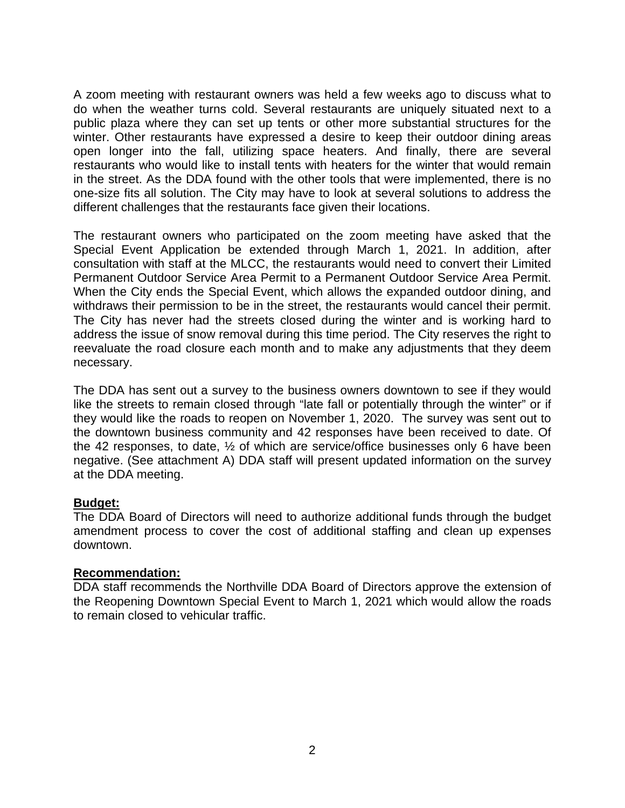A zoom meeting with restaurant owners was held a few weeks ago to discuss what to do when the weather turns cold. Several restaurants are uniquely situated next to a public plaza where they can set up tents or other more substantial structures for the winter. Other restaurants have expressed a desire to keep their outdoor dining areas open longer into the fall, utilizing space heaters. And finally, there are several restaurants who would like to install tents with heaters for the winter that would remain in the street. As the DDA found with the other tools that were implemented, there is no one-size fits all solution. The City may have to look at several solutions to address the different challenges that the restaurants face given their locations.

The restaurant owners who participated on the zoom meeting have asked that the Special Event Application be extended through March 1, 2021. In addition, after consultation with staff at the MLCC, the restaurants would need to convert their Limited Permanent Outdoor Service Area Permit to a Permanent Outdoor Service Area Permit. When the City ends the Special Event, which allows the expanded outdoor dining, and withdraws their permission to be in the street, the restaurants would cancel their permit. The City has never had the streets closed during the winter and is working hard to address the issue of snow removal during this time period. The City reserves the right to reevaluate the road closure each month and to make any adjustments that they deem necessary.

The DDA has sent out a survey to the business owners downtown to see if they would like the streets to remain closed through "late fall or potentially through the winter" or if they would like the roads to reopen on November 1, 2020. The survey was sent out to the downtown business community and 42 responses have been received to date. Of the 42 responses, to date, ½ of which are service/office businesses only 6 have been negative. (See attachment A) DDA staff will present updated information on the survey at the DDA meeting.

#### **Budget:**

The DDA Board of Directors will need to authorize additional funds through the budget amendment process to cover the cost of additional staffing and clean up expenses downtown.

#### **Recommendation:**

DDA staff recommends the Northville DDA Board of Directors approve the extension of the Reopening Downtown Special Event to March 1, 2021 which would allow the roads to remain closed to vehicular traffic.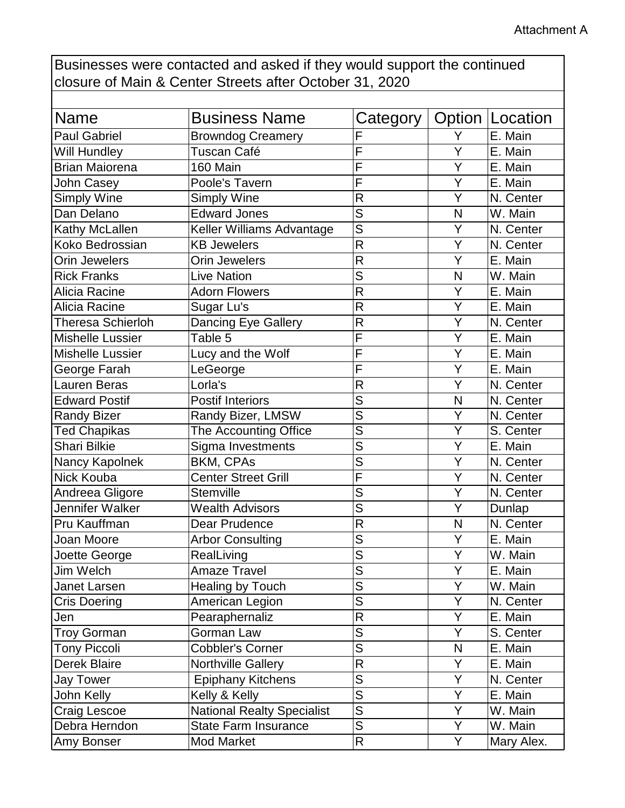Businesses were contacted and asked if they would support the continued closure of Main & Center Streets after October 31, 2020

| Name                     | <b>Business Name</b>              | Category                |   | Option   Location |
|--------------------------|-----------------------------------|-------------------------|---|-------------------|
| <b>Paul Gabriel</b>      | <b>Browndog Creamery</b>          | F                       | Y | E. Main           |
| Will Hundley             | Tuscan Café                       | F                       | Ý | E. Main           |
| <b>Brian Maiorena</b>    | 160 Main                          | F                       | Y | E. Main           |
| <b>John Casey</b>        | Poole's Tavern                    | F                       | Ý | E. Main           |
| <b>Simply Wine</b>       | <b>Simply Wine</b>                | $\mathsf{R}$            | Y | N. Center         |
| Dan Delano               | <b>Edward Jones</b>               | S                       | N | W. Main           |
| Kathy McLallen           | Keller Williams Advantage         | S                       | Y | N. Center         |
| Koko Bedrossian          | <b>KB Jewelers</b>                | $\mathsf{R}$            | Ý | N. Center         |
| <b>Orin Jewelers</b>     | <b>Orin Jewelers</b>              | $\mathsf{R}$            | Y | E. Main           |
| <b>Rick Franks</b>       | <b>Live Nation</b>                | S                       | N | W. Main           |
| Alicia Racine            | <b>Adorn Flowers</b>              | $\overline{\mathsf{R}}$ | Y | E. Main           |
| Alicia Racine            | Sugar Lu's                        | $\mathsf{R}$            | Ý | E. Main           |
| <b>Theresa Schierloh</b> | <b>Dancing Eye Gallery</b>        | $\mathsf{R}$            | Y | N. Center         |
| <b>Mishelle Lussier</b>  | Table 5                           | F                       | Ý | E. Main           |
| <b>Mishelle Lussier</b>  | Lucy and the Wolf                 | F                       | Ý | E. Main           |
| George Farah             | LeGeorge                          | F                       | Y | E. Main           |
| <b>Lauren Beras</b>      | Lorla's                           | $\mathsf{R}$            | Ý | N. Center         |
| <b>Edward Postif</b>     | <b>Postif Interiors</b>           | S                       | N | N. Center         |
| <b>Randy Bizer</b>       | Randy Bizer, LMSW                 | S                       | Y | N. Center         |
| <b>Ted Chapikas</b>      | The Accounting Office             | $\overline{\mathsf{s}}$ | Y | S. Center         |
| <b>Shari Bilkie</b>      | Sigma Investments                 | S                       | Ý | E. Main           |
| Nancy Kapolnek           | <b>BKM, CPAs</b>                  | S                       | Y | N. Center         |
| Nick Kouba               | <b>Center Street Grill</b>        | F                       | Ý | N. Center         |
| Andreea Gligore          | Stemville                         | S                       | Y | N. Center         |
| Jennifer Walker          | <b>Wealth Advisors</b>            | S                       | Y | Dunlap            |
| Pru Kauffman             | Dear Prudence                     | $\mathsf{R}$            | N | N. Center         |
| Joan Moore               | <b>Arbor Consulting</b>           | S                       | Y | E. Main           |
| Joette George            | RealLiving                        | S                       | Ý | W. Main           |
| Jim Welch                | <b>Amaze Travel</b>               | S                       | Υ | E. Main           |
| Janet Larsen             | Healing by Touch                  | S                       | Y | W. Main           |
| <b>Cris Doering</b>      | American Legion                   | ${\sf S}$               | Y | N. Center         |
| Jen                      | Pearaphernaliz                    | $\mathsf{R}$            | Ÿ | E. Main           |
| <b>Troy Gorman</b>       | Gorman Law                        | S                       | Y | S. Center         |
| <b>Tony Piccoli</b>      | <b>Cobbler's Corner</b>           | S                       | N | E. Main           |
| Derek Blaire             | Northville Gallery                | $\mathsf{R}$            | Y | E. Main           |
| <b>Jay Tower</b>         | <b>Epiphany Kitchens</b>          | ${\sf S}$               | Υ | N. Center         |
| John Kelly               | Kelly & Kelly                     | ${\sf S}$               | Y | E. Main           |
| Craig Lescoe             | <b>National Realty Specialist</b> | $\overline{S}$          | Y | W. Main           |
| Debra Herndon            | <b>State Farm Insurance</b>       | S                       | Y | W. Main           |
| Amy Bonser               | Mod Market                        | $\mathsf{R}$            | Y | Mary Alex.        |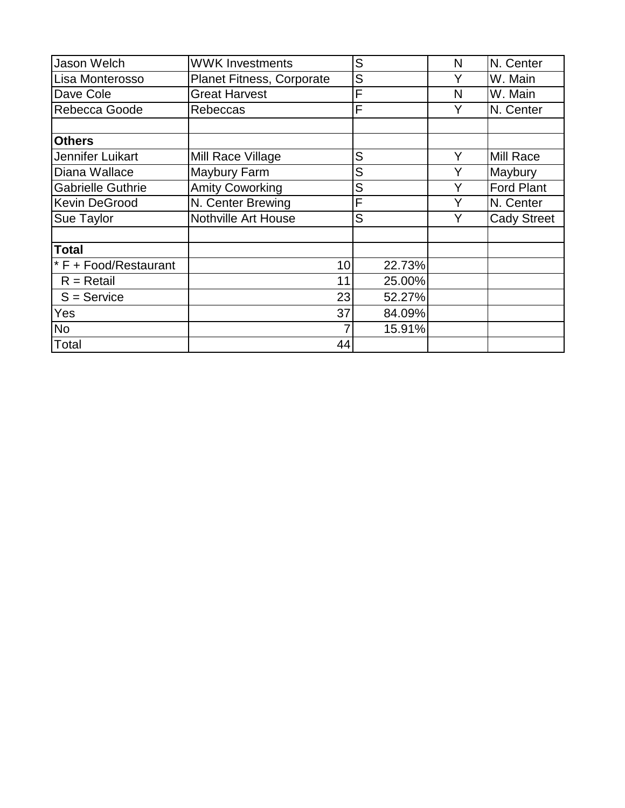| Jason Welch              | <b>WWK Investments</b>           | S      | N | N. Center          |
|--------------------------|----------------------------------|--------|---|--------------------|
| Lisa Monterosso          | <b>Planet Fitness, Corporate</b> | S      | Y | W. Main            |
| Dave Cole                | <b>Great Harvest</b>             | F      | N | W. Main            |
| Rebecca Goode            | Rebeccas                         | F      | Y | N. Center          |
|                          |                                  |        |   |                    |
| <b>Others</b>            |                                  |        |   |                    |
| Jennifer Luikart         | Mill Race Village                | S      | Y | Mill Race          |
| Diana Wallace            | Maybury Farm                     | S      |   | Maybury            |
| <b>Gabrielle Guthrie</b> | <b>Amity Coworking</b>           | S      |   | <b>Ford Plant</b>  |
| <b>Kevin DeGrood</b>     | N. Center Brewing                | F      |   | N. Center          |
| Sue Taylor               | Nothville Art House              | S      | Y | <b>Cady Street</b> |
|                          |                                  |        |   |                    |
| <b>Total</b>             |                                  |        |   |                    |
| * F + Food/Restaurant    | 10                               | 22.73% |   |                    |
| $R = Retail$             | 11                               | 25.00% |   |                    |
| $S =$ Service            | 23                               | 52.27% |   |                    |
| Yes                      | 37                               | 84.09% |   |                    |
| <b>No</b>                |                                  | 15.91% |   |                    |
| Total                    | 44                               |        |   |                    |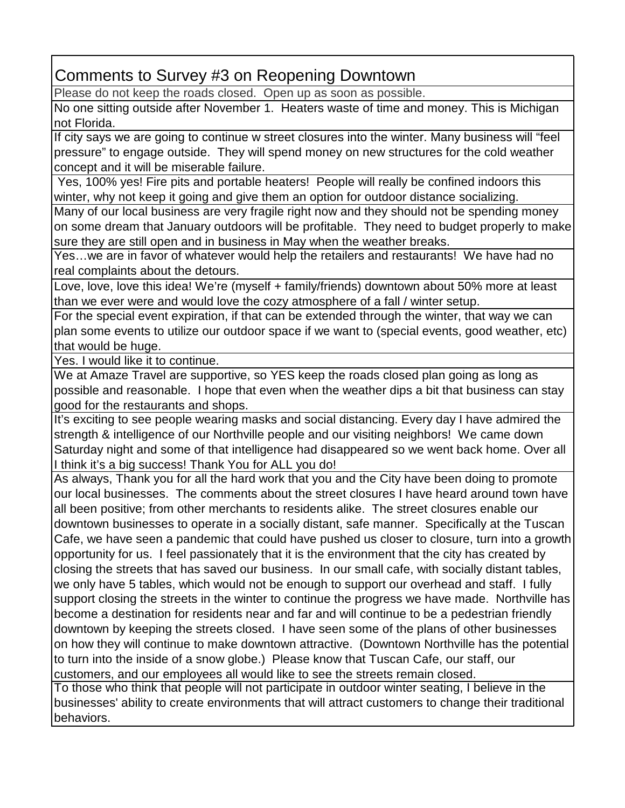Comments to Survey #3 on Reopening Downtown

Please do not keep the roads closed. Open up as soon as possible.

No one sitting outside after November 1. Heaters waste of time and money. This is Michigan not Florida.

If city says we are going to continue w street closures into the winter. Many business will "feel pressure" to engage outside. They will spend money on new structures for the cold weather concept and it will be miserable failure.

Yes, 100% yes! Fire pits and portable heaters! People will really be confined indoors this winter, why not keep it going and give them an option for outdoor distance socializing.

Many of our local business are very fragile right now and they should not be spending money on some dream that January outdoors will be profitable. They need to budget properly to make sure they are still open and in business in May when the weather breaks.

Yes…we are in favor of whatever would help the retailers and restaurants! We have had no real complaints about the detours.

Love, love, love this idea! We're (myself + family/friends) downtown about 50% more at least than we ever were and would love the cozy atmosphere of a fall / winter setup.

For the special event expiration, if that can be extended through the winter, that way we can plan some events to utilize our outdoor space if we want to (special events, good weather, etc) that would be huge.

Yes. I would like it to continue.

We at Amaze Travel are supportive, so YES keep the roads closed plan going as long as possible and reasonable. I hope that even when the weather dips a bit that business can stay good for the restaurants and shops.

It's exciting to see people wearing masks and social distancing. Every day I have admired the strength & intelligence of our Northville people and our visiting neighbors! We came down Saturday night and some of that intelligence had disappeared so we went back home. Over all I think it's a big success! Thank You for ALL you do!

As always, Thank you for all the hard work that you and the City have been doing to promote our local businesses. The comments about the street closures I have heard around town have all been positive; from other merchants to residents alike. The street closures enable our downtown businesses to operate in a socially distant, safe manner. Specifically at the Tuscan Cafe, we have seen a pandemic that could have pushed us closer to closure, turn into a growth opportunity for us. I feel passionately that it is the environment that the city has created by closing the streets that has saved our business. In our small cafe, with socially distant tables, we only have 5 tables, which would not be enough to support our overhead and staff. I fully support closing the streets in the winter to continue the progress we have made. Northville has become a destination for residents near and far and will continue to be a pedestrian friendly downtown by keeping the streets closed. I have seen some of the plans of other businesses on how they will continue to make downtown attractive. (Downtown Northville has the potential to turn into the inside of a snow globe.) Please know that Tuscan Cafe, our staff, our customers, and our employees all would like to see the streets remain closed.

To those who think that people will not participate in outdoor winter seating, I believe in the businesses' ability to create environments that will attract customers to change their traditional behaviors.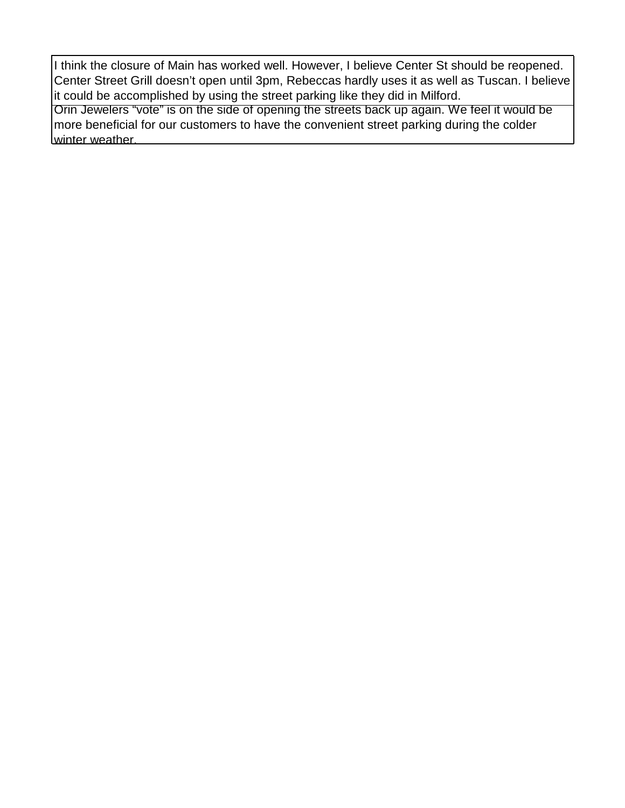I think the closure of Main has worked well. However, I believe Center St should be reopened. Center Street Grill doesn't open until 3pm, Rebeccas hardly uses it as well as Tuscan. I believe it could be accomplished by using the street parking like they did in Milford. Orin Jewelers "vote" is on the side of opening the streets back up again. We feel it would be

more beneficial for our customers to have the convenient street parking during the colder winter weather.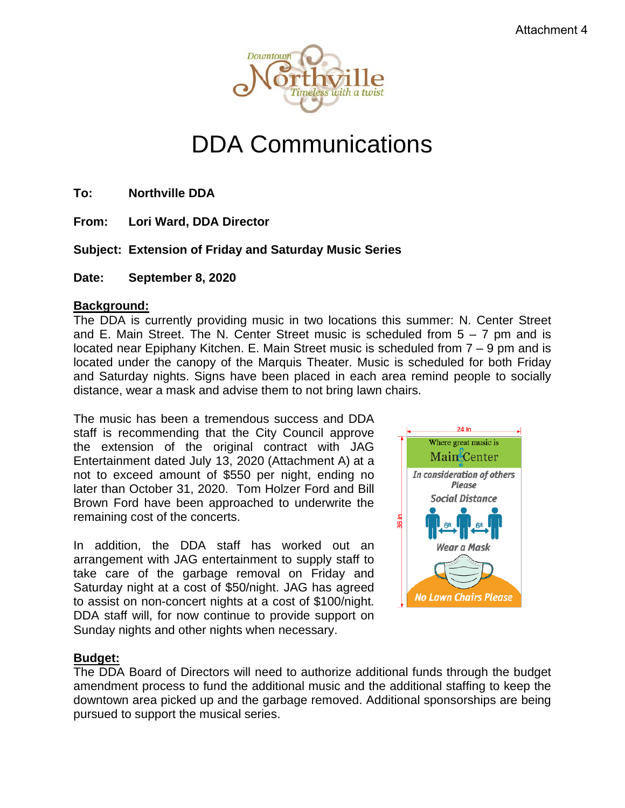

# DDA Communications

**To: Northville DDA**

**From: Lori Ward, DDA Director**

#### **Subject: Extension of Friday and Saturday Music Series**

**Date: September 8, 2020**

#### **Background:**

The DDA is currently providing music in two locations this summer: N. Center Street and E. Main Street. The N. Center Street music is scheduled from  $5 - 7$  pm and is located near Epiphany Kitchen. E. Main Street music is scheduled from 7 – 9 pm and is located under the canopy of the Marquis Theater. Music is scheduled for both Friday and Saturday nights. Signs have been placed in each area remind people to socially distance, wear a mask and advise them to not bring lawn chairs.

The music has been a tremendous success and DDA staff is recommending that the City Council approve the extension of the original contract with JAG Entertainment dated July 13, 2020 (Attachment A) at a not to exceed amount of \$550 per night, ending no later than October 31, 2020. Tom Holzer Ford and Bill Brown Ford have been approached to underwrite the remaining cost of the concerts.

In addition, the DDA staff has worked out an arrangement with JAG entertainment to supply staff to take care of the garbage removal on Friday and Saturday night at a cost of \$50/night. JAG has agreed to assist on non-concert nights at a cost of \$100/night. DDA staff will, for now continue to provide support on Sunday nights and other nights when necessary.



#### **Budget:**

The DDA Board of Directors will need to authorize additional funds through the budget amendment process to fund the additional music and the additional staffing to keep the downtown area picked up and the garbage removed. Additional sponsorships are being pursued to support the musical series.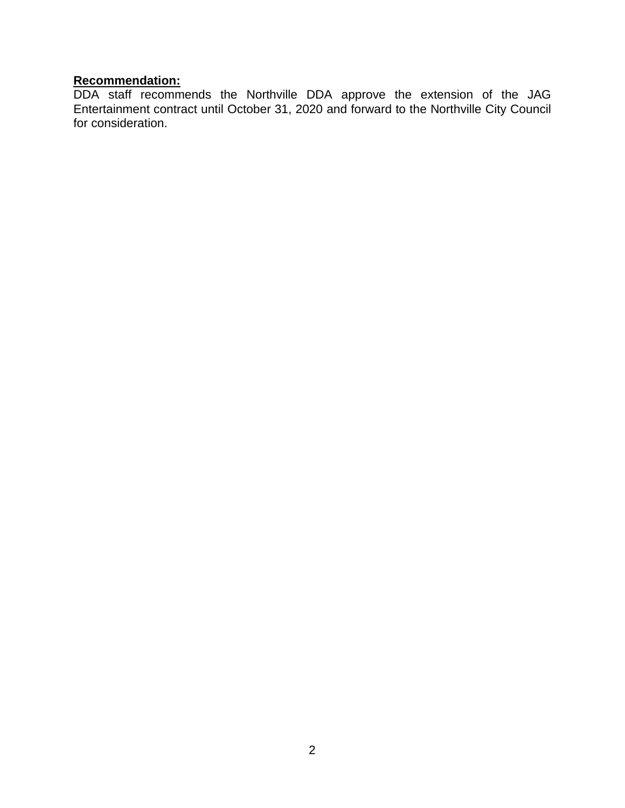#### **Recommendation:**

DDA staff recommends the Northville DDA approve the extension of the JAG Entertainment contract until October 31, 2020 and forward to the Northville City Council for consideration.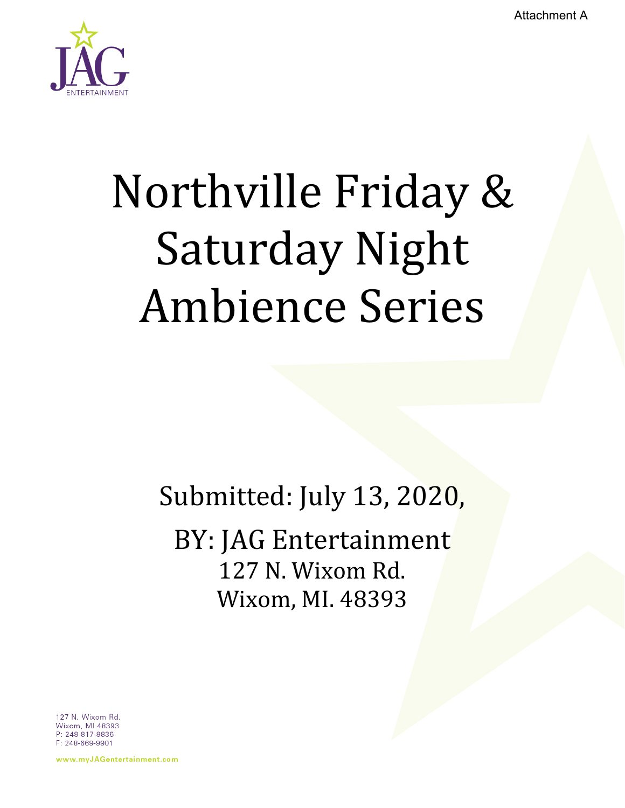Attachment A



# Northville Friday & Saturday Night Ambience Series

Submitted: July 13, 2020,

BY: JAG Entertainment 127 N. Wixom Rd. Wixom, MI. 48393

127 N. Wixom Rd. Wixom, MI 48393 P: 248-817-8836 F: 248-669-9901

www.myJAGentertainment.com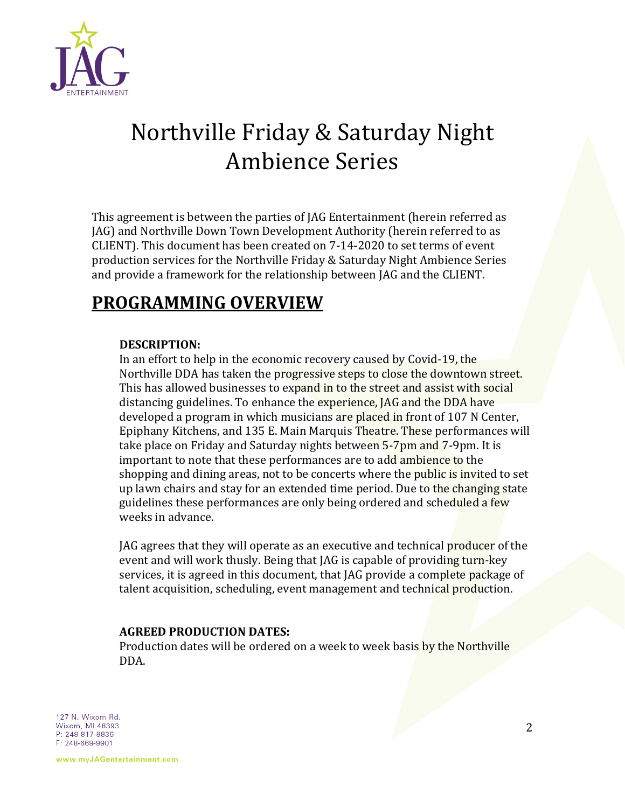

# Northville Friday & Saturday Night Ambience Series

This agreement is between the parties of JAG Entertainment (herein referred as JAG) and Northville Down Town Development Authority (herein referred to as CLIENT). This document has been created on 7-14-2020 to set terms of event production services for the Northville Friday & Saturday Night Ambience Series and provide a framework for the relationship between JAG and the CLIENT.

## **PROGRAMMING OVERVIEW**

#### **DESCRIPTION:**

In an effort to help in the economic recovery caused by Covid-19, the Northville DDA has taken the progressive steps to close the downtown street. This has allowed businesses to expand in to the street and assist with social distancing guidelines. To enhance the experience, JAG and the DDA have developed a program in which musicians are placed in front of 107 N Center, Epiphany Kitchens, and 135 E. Main Marquis Theatre. These performances will take place on Friday and Saturday nights between 5-7pm and 7-9pm. It is important to note that these performances are to add ambience to the shopping and dining areas, not to be concerts where the public is invited to set up lawn chairs and stay for an extended time period. Due to the changing state guidelines these performances are only being ordered and scheduled a few weeks in advance.

JAG agrees that they will operate as an executive and technical producer of the event and will work thusly. Being that JAG is capable of providing turn-key services, it is agreed in this document, that JAG provide a complete package of talent acquisition, scheduling, event management and technical production.

#### **AGREED PRODUCTION DATES:**

Production dates will be ordered on a week to week basis by the Northville DDA.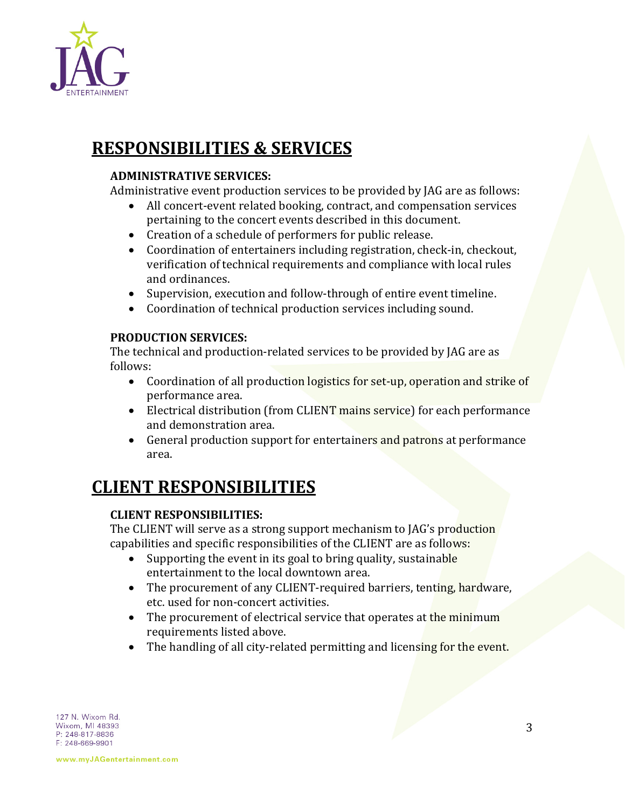

## **RESPONSIBILITIES & SERVICES**

#### **ADMINISTRATIVE SERVICES:**

Administrative event production services to be provided by JAG are as follows:

- All concert-event related booking, contract, and compensation services pertaining to the concert events described in this document.
- Creation of a schedule of performers for public release.
- Coordination of entertainers including registration, check-in, checkout, verification of technical requirements and compliance with local rules and ordinances.
- Supervision, execution and follow-through of entire event timeline.
- Coordination of technical production services including sound.

#### **PRODUCTION SERVICES:**

The technical and production-related services to be provided by JAG are as follows:

- Coordination of all production logistics for set-up, operation and strike of performance area.
- Electrical distribution (from CLIENT mains service) for each performance and demonstration area.
- General production support for entertainers and patrons at performance area.

## **CLIENT RESPONSIBILITIES**

#### **CLIENT RESPONSIBILITIES:**

The CLIENT will serve as a strong support mechanism to JAG's production capabilities and specific responsibilities of the CLIENT are as follows:

- Supporting the event in its goal to bring quality, sustainable entertainment to the local downtown area.
- The procurement of any CLIENT-required barriers, tenting, hardware, etc. used for non-concert activities.
- The procurement of electrical service that operates at the minimum requirements listed above.
- The handling of all city-related permitting and licensing for the event.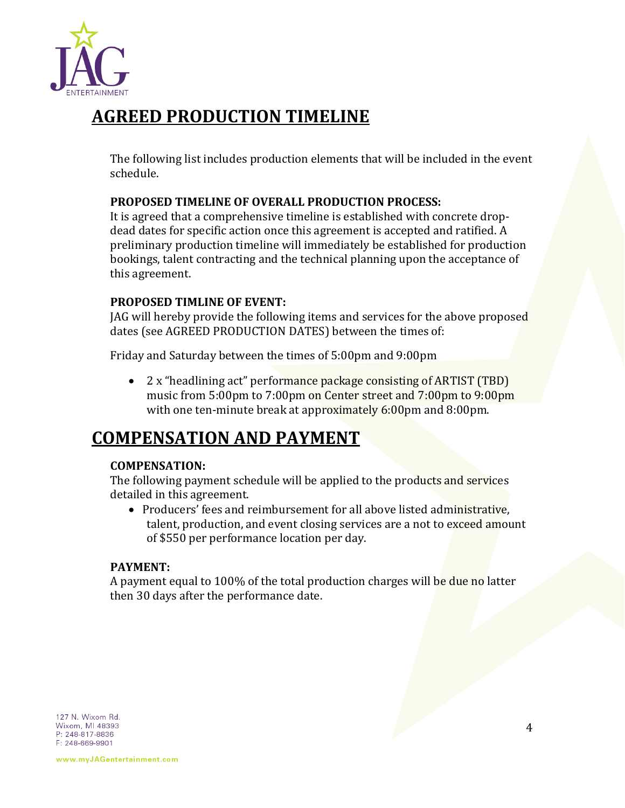

## **AGREED PRODUCTION TIMELINE**

The following list includes production elements that will be included in the event schedule.

#### **PROPOSED TIMELINE OF OVERALL PRODUCTION PROCESS:**

It is agreed that a comprehensive timeline is established with concrete dropdead dates for specific action once this agreement is accepted and ratified. A preliminary production timeline will immediately be established for production bookings, talent contracting and the technical planning upon the acceptance of this agreement.

#### **PROPOSED TIMLINE OF EVENT:**

JAG will hereby provide the following items and services for the above proposed dates (see AGREED PRODUCTION DATES) between the times of:

Friday and Saturday between the times of 5:00pm and 9:00pm

• 2 x "headlining act" performance package consisting of ARTIST (TBD) music from 5:00pm to 7:00pm on Center street and 7:00pm to 9:00pm with one ten-minute break at approximately 6:00pm and 8:00pm.

## **COMPENSATION AND PAYMENT**

#### **COMPENSATION:**

The following payment schedule will be applied to the products and services detailed in this agreement.

• Producers' fees and reimbursement for all above listed administrative, talent, production, and event closing services are a not to exceed amount of \$550 per performance location per day.

#### **PAYMENT:**

A payment equal to 100% of the total production charges will be due no latter then 30 days after the performance date.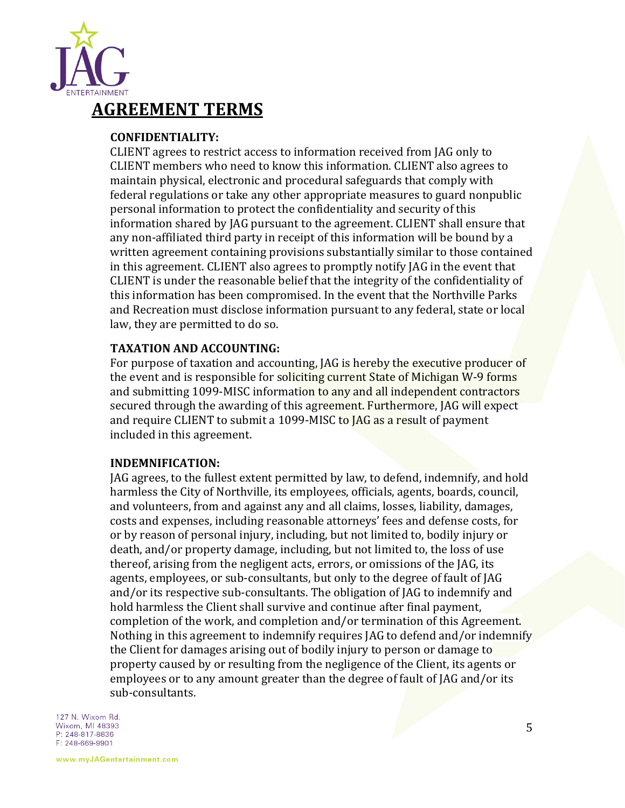

### **AGREEMENT TERMS**

#### **CONFIDENTIALITY:**

CLIENT agrees to restrict access to information received from JAG only to CLIENT members who need to know this information. CLIENT also agrees to maintain physical, electronic and procedural safeguards that comply with federal regulations or take any other appropriate measures to guard nonpublic personal information to protect the confidentiality and security of this information shared by JAG pursuant to the agreement. CLIENT shall ensure that any non-affiliated third party in receipt of this information will be bound by a written agreement containing provisions substantially similar to those contained in this agreement. CLIENT also agrees to promptly notify JAG in the event that CLIENT is under the reasonable belief that the integrity of the confidentiality of this information has been compromised. In the event that the Northville Parks and Recreation must disclose information pursuant to any federal, state or local law, they are permitted to do so.

#### **TAXATION AND ACCOUNTING:**

For purpose of taxation and accounting, JAG is hereby the executive producer of the event and is responsible for soliciting current State of Michigan W-9 forms and submitting 1099-MISC information to any and all independent contractors secured through the awarding of this agreement. Furthermore, JAG will expect and require CLIENT to submit a 1099-MISC to JAG as a result of payment included in this agreement.

#### **INDEMNIFICATION:**

JAG agrees, to the fullest extent permitted by law, to defend, indemnify, and hold harmless the City of Northville, its employees, officials, agents, boards, council, and volunteers, from and against any and all claims, losses, liability, damages, costs and expenses, including reasonable attorneys' fees and defense costs, for or by reason of personal injury, including, but not limited to, bodily injury or death, and/or property damage, including, but not limited to, the loss of use thereof, arising from the negligent acts, errors, or omissions of the JAG, its agents, employees, or sub-consultants, but only to the degree of fault of JAG and/or its respective sub-consultants. The obligation of JAG to indemnify and hold harmless the Client shall survive and continue after final payment, completion of the work, and completion and/or termination of this Agreement. Nothing in this agreement to indemnify requires JAG to defend and/or indemnify the Client for damages arising out of bodily injury to person or damage to property caused by or resulting from the negligence of the Client, its agents or employees or to any amount greater than the degree of fault of JAG and/or its sub-consultants.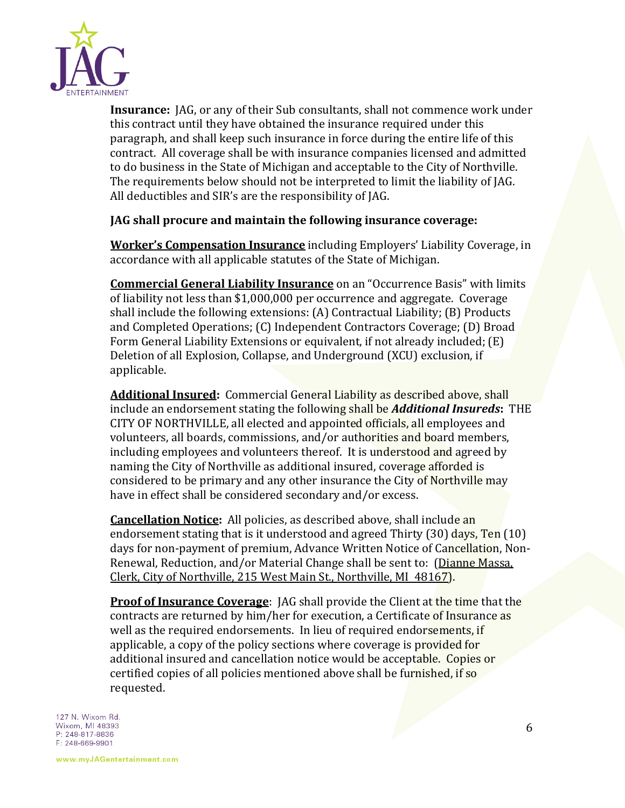

**Insurance:** JAG, or any of their Sub consultants, shall not commence work under this contract until they have obtained the insurance required under this paragraph, and shall keep such insurance in force during the entire life of this contract. All coverage shall be with insurance companies licensed and admitted to do business in the State of Michigan and acceptable to the City of Northville. The requirements below should not be interpreted to limit the liability of JAG. All deductibles and SIR's are the responsibility of JAG.

#### **JAG shall procure and maintain the following insurance coverage:**

**Worker's Compensation Insurance** including Employers' Liability Coverage, in accordance with all applicable statutes of the State of Michigan.

**Commercial General Liability Insurance** on an "Occurrence Basis" with limits of liability not less than \$1,000,000 per occurrence and aggregate. Coverage shall include the following extensions: (A) Contractual Liability; (B) Products and Completed Operations; (C) Independent Contractors Coverage; (D) Broad Form General Liability Extensions or equivalent, if not already included; (E) Deletion of all Explosion, Collapse, and Underground (XCU) exclusion, if applicable.

**Additional Insured:** Commercial General Liability as described above, shall include an endorsement stating the following shall be *Additional Insureds***:** THE CITY OF NORTHVILLE, all elected and appointed officials, all employees and volunteers, all boards, commissions, and/or authorities and board members, including employees and volunteers thereof. It is understood and agreed by naming the City of Northville as additional insured, coverage afforded is considered to be primary and any other insurance the City of Northville may have in effect shall be considered secondary and/or excess.

**Cancellation Notice:** All policies, as described above, shall include an endorsement stating that is it understood and agreed Thirty (30) days, Ten (10) days for non-payment of premium, Advance Written Notice of Cancellation, Non-Renewal, Reduction, and/or Material Change shall be sent to: (Dianne Massa, Clerk, City of Northville, 215 West Main St., Northville, MI 48167).

**Proof of Insurance Coverage**: JAG shall provide the Client at the time that the contracts are returned by him/her for execution, a Certificate of Insurance as well as the required endorsements. In lieu of required endorsements, if applicable, a copy of the policy sections where coverage is provided for additional insured and cancellation notice would be acceptable. Copies or certified copies of all policies mentioned above shall be furnished, if so requested.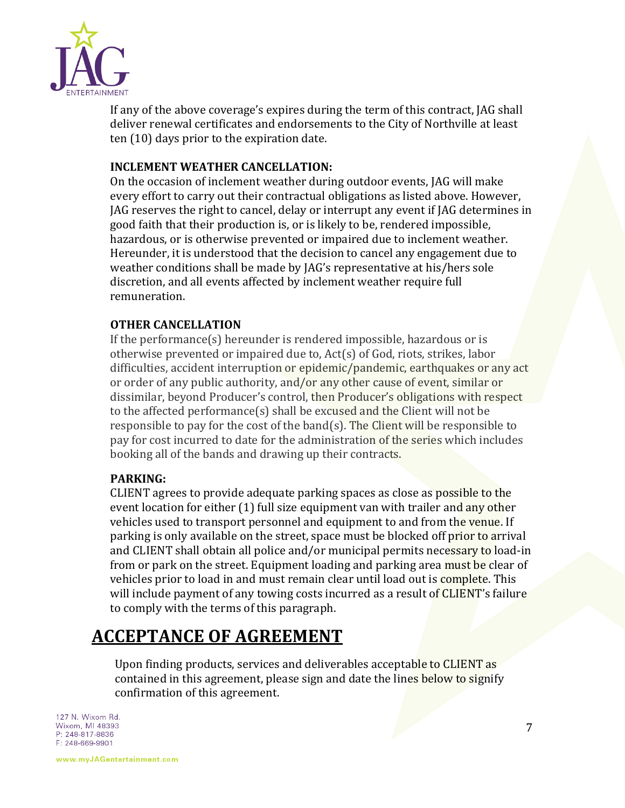

If any of the above coverage's expires during the term of this contract, JAG shall deliver renewal certificates and endorsements to the City of Northville at least ten (10) days prior to the expiration date.

#### **INCLEMENT WEATHER CANCELLATION:**

On the occasion of inclement weather during outdoor events, JAG will make every effort to carry out their contractual obligations as listed above. However, JAG reserves the right to cancel, delay or interrupt any event if JAG determines in good faith that their production is, or is likely to be, rendered impossible, hazardous, or is otherwise prevented or impaired due to inclement weather. Hereunder, it is understood that the decision to cancel any engagement due to weather conditions shall be made by JAG's representative at his/hers sole discretion, and all events affected by inclement weather require full remuneration.

#### **OTHER CANCELLATION**

If the performance(s) hereunder is rendered impossible, hazardous or is otherwise prevented or impaired due to, Act(s) of God, riots, strikes, labor difficulties, accident interruption or epidemic/pandemic, earthquakes or any act or order of any public authority, and/or any other cause of event, similar or dissimilar, beyond Producer's control, then Producer's obligations with respect to the affected performance(s) shall be excused and the Client will not be responsible to pay for the cost of the band(s). The Client will be responsible to pay for cost incurred to date for the administration of the series which includes booking all of the bands and drawing up their contracts.

#### **PARKING:**

CLIENT agrees to provide adequate parking spaces as close as possible to the event location for either (1) full size equipment van with trailer and any other vehicles used to transport personnel and equipment to and from the venue. If parking is only available on the street, space must be blocked off prior to arrival and CLIENT shall obtain all police and/or municipal permits necessary to load-in from or park on the street. Equipment loading and parking area must be clear of vehicles prior to load in and must remain clear until load out is complete. This will include payment of any towing costs incurred as a result of CLIENT's failure to comply with the terms of this paragraph.

## **ACCEPTANCE OF AGREEMENT**

Upon finding products, services and deliverables acceptable to CLIENT as contained in this agreement, please sign and date the lines below to signify confirmation of this agreement.